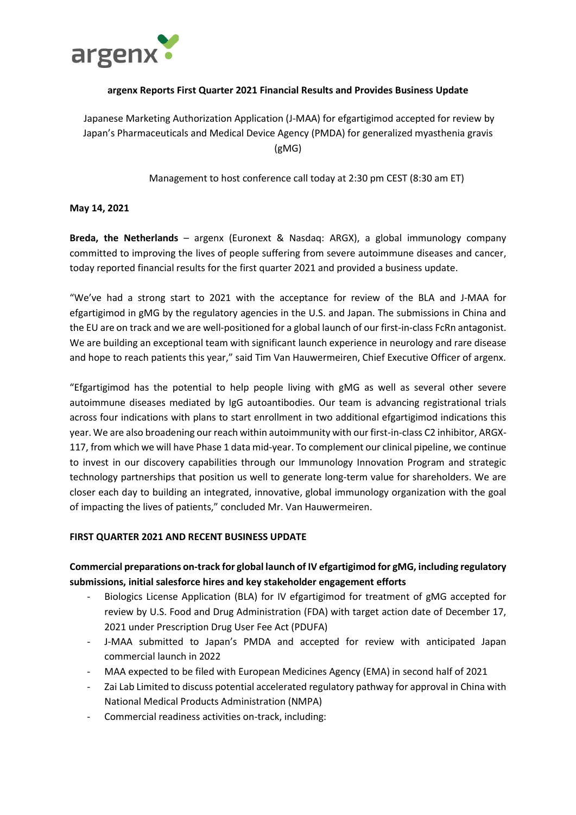

## **argenx Reports First Quarter 2021 Financial Results and Provides Business Update**

Japanese Marketing Authorization Application (J-MAA) for efgartigimod accepted for review by Japan's Pharmaceuticals and Medical Device Agency (PMDA) for generalized myasthenia gravis (gMG)

Management to host conference call today at 2:30 pm CEST (8:30 am ET)

## **May 14, 2021**

**Breda, the Netherlands** – argenx (Euronext & Nasdaq: ARGX), a global immunology company committed to improving the lives of people suffering from severe autoimmune diseases and cancer, today reported financial results for the first quarter 2021 and provided a business update.

"We've had a strong start to 2021 with the acceptance for review of the BLA and J-MAA for efgartigimod in gMG by the regulatory agencies in the U.S. and Japan. The submissions in China and the EU are on track and we are well-positioned for a global launch of our first-in-class FcRn antagonist. We are building an exceptional team with significant launch experience in neurology and rare disease and hope to reach patients this year," said Tim Van Hauwermeiren, Chief Executive Officer of argenx.

"Efgartigimod has the potential to help people living with gMG as well as several other severe autoimmune diseases mediated by IgG autoantibodies. Our team is advancing registrational trials across four indications with plans to start enrollment in two additional efgartigimod indications this year. We are also broadening our reach within autoimmunity with our first-in-class C2 inhibitor, ARGX-117, from which we will have Phase 1 data mid-year. To complement our clinical pipeline, we continue to invest in our discovery capabilities through our Immunology Innovation Program and strategic technology partnerships that position us well to generate long-term value for shareholders. We are closer each day to building an integrated, innovative, global immunology organization with the goal of impacting the lives of patients," concluded Mr. Van Hauwermeiren.

## **FIRST QUARTER 2021 AND RECENT BUSINESS UPDATE**

## **Commercial preparations on-track for global launch of IV efgartigimod for gMG, including regulatory submissions, initial salesforce hires and key stakeholder engagement efforts**

- Biologics License Application (BLA) for IV efgartigimod for treatment of gMG accepted for review by U.S. Food and Drug Administration (FDA) with target action date of December 17, 2021 under Prescription Drug User Fee Act (PDUFA)
- J-MAA submitted to Japan's PMDA and accepted for review with anticipated Japan commercial launch in 2022
- MAA expected to be filed with European Medicines Agency (EMA) in second half of 2021
- Zai Lab Limited to discuss potential accelerated regulatory pathway for approval in China with National Medical Products Administration (NMPA)
- Commercial readiness activities on-track, including: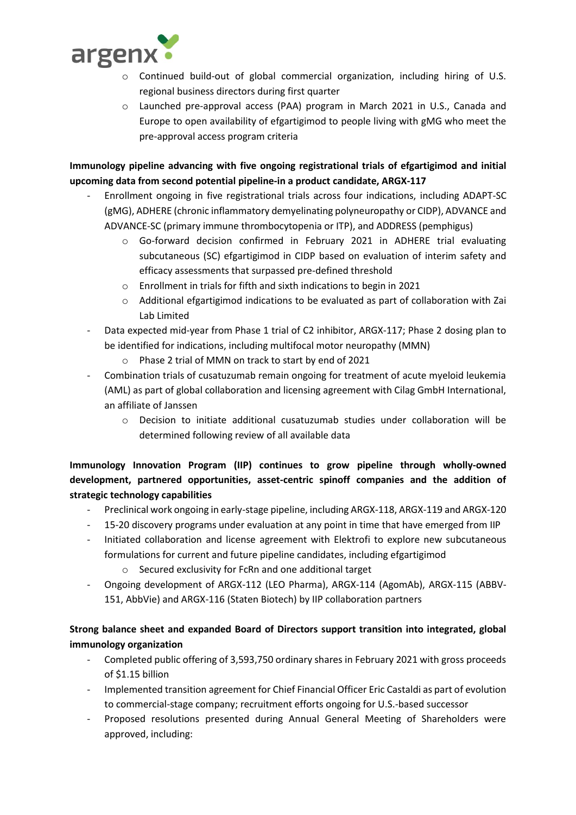

- $\circ$  Continued build-out of global commercial organization, including hiring of U.S. regional business directors during first quarter
- o Launched pre-approval access (PAA) program in March 2021 in U.S., Canada and Europe to open availability of efgartigimod to people living with gMG who meet the pre-approval access program criteria

**Immunology pipeline advancing with five ongoing registrational trials of efgartigimod and initial upcoming data from second potential pipeline-in a product candidate, ARGX-117** 

- Enrollment ongoing in five registrational trials across four indications, including ADAPT-SC (gMG), ADHERE (chronic inflammatory demyelinating polyneuropathy or CIDP), ADVANCE and ADVANCE-SC (primary immune thrombocytopenia or ITP), and ADDRESS (pemphigus)
	- $\circ$  Go-forward decision confirmed in February 2021 in ADHERE trial evaluating subcutaneous (SC) efgartigimod in CIDP based on evaluation of interim safety and efficacy assessments that surpassed pre-defined threshold
	- o Enrollment in trials for fifth and sixth indications to begin in 2021
	- o Additional efgartigimod indications to be evaluated as part of collaboration with Zai Lab Limited
- Data expected mid-year from Phase 1 trial of C2 inhibitor, ARGX-117; Phase 2 dosing plan to be identified for indications, including multifocal motor neuropathy (MMN)
	- o Phase 2 trial of MMN on track to start by end of 2021
- Combination trials of cusatuzumab remain ongoing for treatment of acute myeloid leukemia (AML) as part of global collaboration and licensing agreement with Cilag GmbH International, an affiliate of Janssen
	- o Decision to initiate additional cusatuzumab studies under collaboration will be determined following review of all available data

**Immunology Innovation Program (IIP) continues to grow pipeline through wholly-owned development, partnered opportunities, asset-centric spinoff companies and the addition of strategic technology capabilities** 

- Preclinical work ongoing in early-stage pipeline, including ARGX-118, ARGX-119 and ARGX-120
- 15-20 discovery programs under evaluation at any point in time that have emerged from IIP
- Initiated collaboration and license agreement with Elektrofi to explore new subcutaneous formulations for current and future pipeline candidates, including efgartigimod
	- o Secured exclusivity for FcRn and one additional target
- Ongoing development of ARGX-112 (LEO Pharma), ARGX-114 (AgomAb), ARGX-115 (ABBV-151, AbbVie) and ARGX-116 (Staten Biotech) by IIP collaboration partners

# **Strong balance sheet and expanded Board of Directors support transition into integrated, global immunology organization**

- Completed public offering of 3,593,750 ordinary shares in February 2021 with gross proceeds of \$1.15 billion
- Implemented transition agreement for Chief Financial Officer Eric Castaldi as part of evolution to commercial-stage company; recruitment efforts ongoing for U.S.-based successor
- Proposed resolutions presented during Annual General Meeting of Shareholders were approved, including: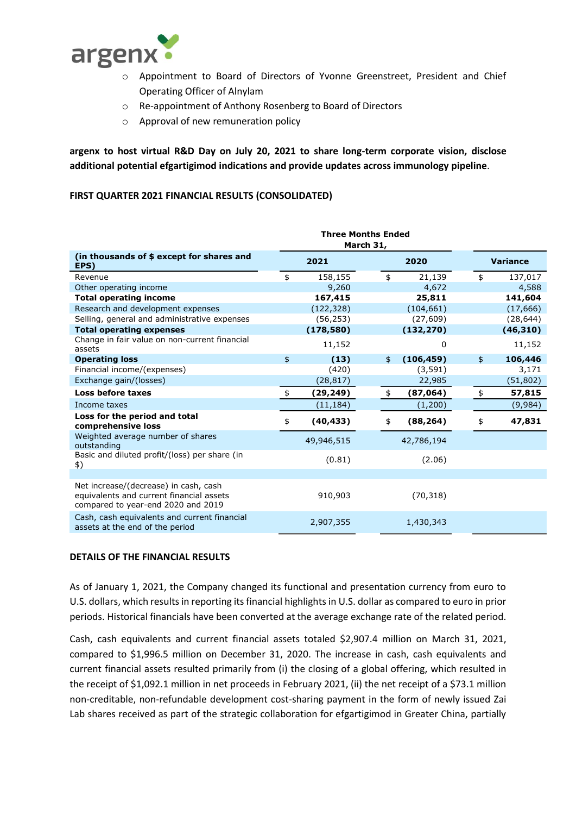

- o Appointment to Board of Directors of Yvonne Greenstreet, President and Chief Operating Officer of Alnylam
- o Re-appointment of Anthony Rosenberg to Board of Directors
- o Approval of new remuneration policy

**argenx to host virtual R&D Day on July 20, 2021 to share long-term corporate vision, disclose additional potential efgartigimod indications and provide updates across immunology pipeline**.

## **FIRST QUARTER 2021 FINANCIAL RESULTS (CONSOLIDATED)**

|                                                                                                                         | <b>Three Months Ended</b><br>March 31, |            |    |            |               |                 |
|-------------------------------------------------------------------------------------------------------------------------|----------------------------------------|------------|----|------------|---------------|-----------------|
| (in thousands of \$ except for shares and<br>EPS)                                                                       |                                        | 2021       |    | 2020       |               | <b>Variance</b> |
| Revenue                                                                                                                 | \$                                     | 158,155    | \$ | 21,139     | \$            | 137,017         |
| Other operating income                                                                                                  |                                        | 9,260      |    | 4,672      |               | 4,588           |
| <b>Total operating income</b>                                                                                           |                                        | 167,415    |    | 25,811     |               | 141,604         |
| Research and development expenses                                                                                       |                                        | (122, 328) |    | (104, 661) |               | (17,666)        |
| Selling, general and administrative expenses                                                                            |                                        | (56,253)   |    | (27, 609)  |               | (28, 644)       |
| <b>Total operating expenses</b>                                                                                         |                                        | (178,580)  |    | (132, 270) |               | (46, 310)       |
| Change in fair value on non-current financial<br>assets                                                                 |                                        | 11,152     |    | 0          |               | 11,152          |
| <b>Operating loss</b>                                                                                                   | \$                                     | (13)       | \$ | (106, 459) | $\frac{4}{5}$ | 106,446         |
| Financial income/(expenses)                                                                                             |                                        | (420)      |    | (3, 591)   |               | 3,171           |
| Exchange gain/(losses)                                                                                                  |                                        | (28, 817)  |    | 22,985     |               | (51, 802)       |
| Loss before taxes                                                                                                       | \$                                     | (29, 249)  | \$ | (87,064)   | \$            | 57,815          |
| Income taxes                                                                                                            |                                        | (11, 184)  |    | (1,200)    |               | (9,984)         |
| Loss for the period and total<br>comprehensive loss                                                                     | \$                                     | (40, 433)  | \$ | (88, 264)  | \$            | 47,831          |
| Weighted average number of shares<br>outstanding                                                                        |                                        | 49,946,515 |    | 42,786,194 |               |                 |
| Basic and diluted profit/(loss) per share (in<br>\$)                                                                    |                                        | (0.81)     |    | (2.06)     |               |                 |
|                                                                                                                         |                                        |            |    |            |               |                 |
| Net increase/(decrease) in cash, cash<br>equivalents and current financial assets<br>compared to year-end 2020 and 2019 |                                        | 910,903    |    | (70, 318)  |               |                 |
| Cash, cash equivalents and current financial<br>assets at the end of the period                                         |                                        | 2,907,355  |    | 1,430,343  |               |                 |

## **DETAILS OF THE FINANCIAL RESULTS**

As of January 1, 2021, the Company changed its functional and presentation currency from euro to U.S. dollars, which results in reporting its financial highlights in U.S. dollar as compared to euro in prior periods. Historical financials have been converted at the average exchange rate of the related period.

Cash, cash equivalents and current financial assets totaled \$2,907.4 million on March 31, 2021, compared to \$1,996.5 million on December 31, 2020. The increase in cash, cash equivalents and current financial assets resulted primarily from (i) the closing of a global offering, which resulted in the receipt of \$1,092.1 million in net proceeds in February 2021, (ii) the net receipt of a \$73.1 million non-creditable, non-refundable development cost-sharing payment in the form of newly issued Zai Lab shares received as part of the strategic collaboration for efgartigimod in Greater China, partially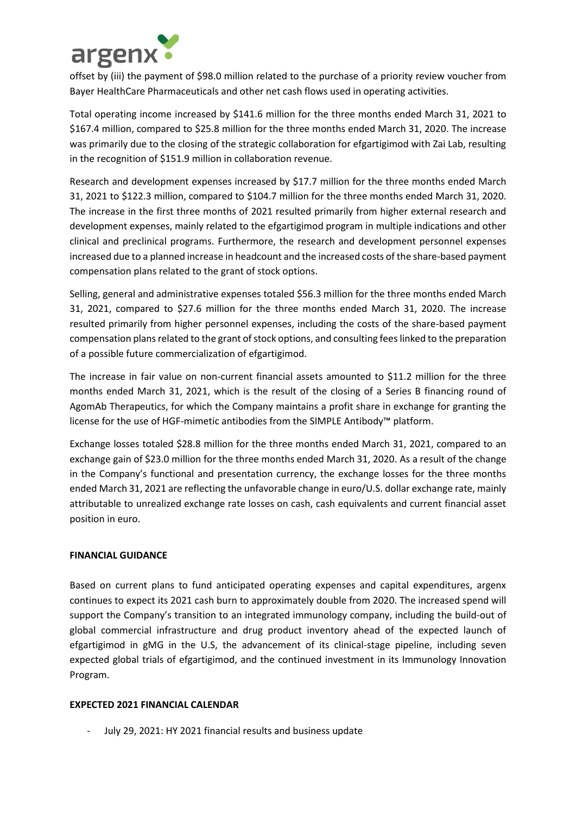

offset by (iii) the payment of \$98.0 million related to the purchase of a priority review voucher from Bayer HealthCare Pharmaceuticals and other net cash flows used in operating activities.

Total operating income increased by \$141.6 million for the three months ended March 31, 2021 to \$167.4 million, compared to \$25.8 million for the three months ended March 31, 2020. The increase was primarily due to the closing of the strategic collaboration for efgartigimod with Zai Lab, resulting in the recognition of \$151.9 million in collaboration revenue.

Research and development expenses increased by \$17.7 million for the three months ended March 31, 2021 to \$122.3 million, compared to \$104.7 million for the three months ended March 31, 2020. The increase in the first three months of 2021 resulted primarily from higher external research and development expenses, mainly related to the efgartigimod program in multiple indications and other clinical and preclinical programs. Furthermore, the research and development personnel expenses increased due to a planned increase in headcount and the increased costs of the share-based payment compensation plans related to the grant of stock options.

Selling, general and administrative expenses totaled \$56.3 million for the three months ended March 31, 2021, compared to \$27.6 million for the three months ended March 31, 2020. The increase resulted primarily from higher personnel expenses, including the costs of the share-based payment compensation plans related to the grant of stock options, and consulting fees linked to the preparation of a possible future commercialization of efgartigimod.

The increase in fair value on non-current financial assets amounted to \$11.2 million for the three months ended March 31, 2021, which is the result of the closing of a Series B financing round of AgomAb Therapeutics, for which the Company maintains a profit share in exchange for granting the license for the use of HGF-mimetic antibodies from the SIMPLE Antibody™ platform.

Exchange losses totaled \$28.8 million for the three months ended March 31, 2021, compared to an exchange gain of \$23.0 million for the three months ended March 31, 2020. As a result of the change in the Company's functional and presentation currency, the exchange losses for the three months ended March 31, 2021 are reflecting the unfavorable change in euro/U.S. dollar exchange rate, mainly attributable to unrealized exchange rate losses on cash, cash equivalents and current financial asset position in euro.

## **FINANCIAL GUIDANCE**

Based on current plans to fund anticipated operating expenses and capital expenditures, argenx continues to expect its 2021 cash burn to approximately double from 2020. The increased spend will support the Company's transition to an integrated immunology company, including the build-out of global commercial infrastructure and drug product inventory ahead of the expected launch of efgartigimod in gMG in the U.S, the advancement of its clinical-stage pipeline, including seven expected global trials of efgartigimod, and the continued investment in its Immunology Innovation Program.

## **EXPECTED 2021 FINANCIAL CALENDAR**

- July 29, 2021: HY 2021 financial results and business update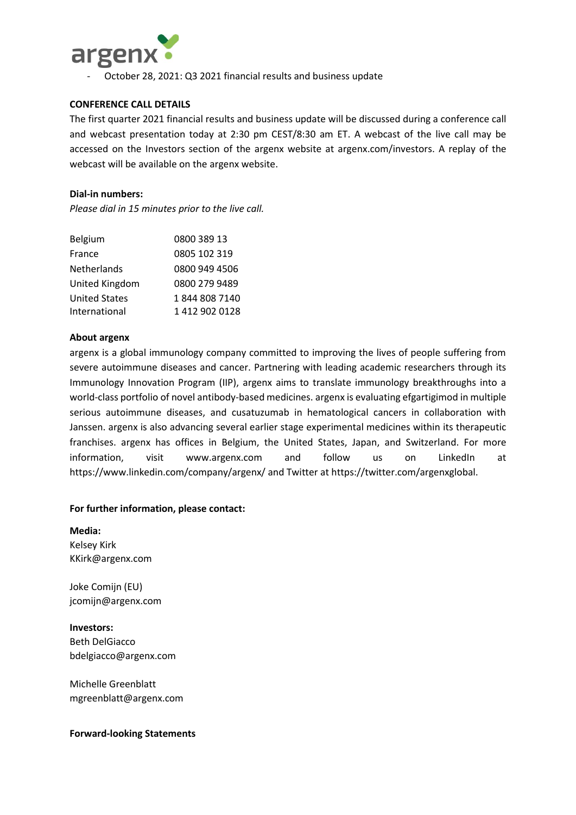

October 28, 2021: Q3 2021 financial results and business update

#### **CONFERENCE CALL DETAILS**

The first quarter 2021 financial results and business update will be discussed during a conference call and webcast presentation today at 2:30 pm CEST/8:30 am ET. A webcast of the live call may be accessed on the Investors section of the argenx website at argenx.com/investors. A replay of the webcast will be available on the argenx website.

#### **Dial-in numbers:**

*Please dial in 15 minutes prior to the live call.* 

| Belgium              | 0800 389 13   |
|----------------------|---------------|
| France               | 0805 102 319  |
| <b>Netherlands</b>   | 0800 949 4506 |
| United Kingdom       | 0800 279 9489 |
| <b>United States</b> | 18448087140   |
| International        | 14129020128   |

#### **About argenx**

argenx is a global immunology company committed to improving the lives of people suffering from severe autoimmune diseases and cancer. Partnering with leading academic researchers through its Immunology Innovation Program (IIP), argenx aims to translate immunology breakthroughs into a world-class portfolio of novel antibody-based medicines. argenx is evaluating efgartigimod in multiple serious autoimmune diseases, and cusatuzumab in hematological cancers in collaboration with Janssen. argenx is also advancing several earlier stage experimental medicines within its therapeutic franchises. argenx has offices in Belgium, the United States, Japan, and Switzerland. For more information, visit www.argenx.com and follow us on LinkedIn at https://www.linkedin.com/company/argenx/ and Twitter at https://twitter.com/argenxglobal.

#### **For further information, please contact:**

**Media:** Kelsey Kirk KKirk@argenx.com

Joke Comijn (EU) jcomijn@argenx.com

**Investors:** Beth DelGiacco bdelgiacco@argenx.com

Michelle Greenblatt mgreenblatt@argenx.com

#### **Forward-looking Statements**